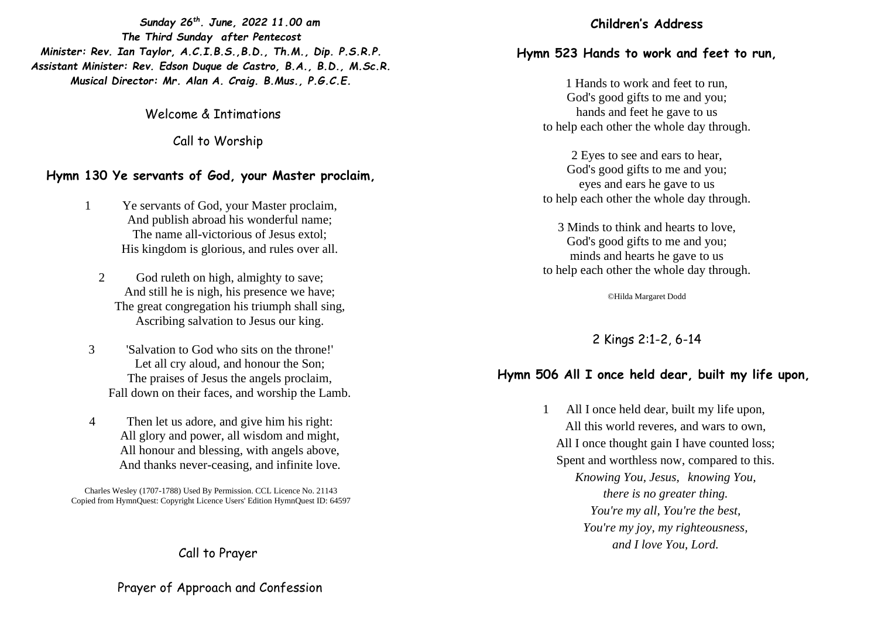*Sunday 26th. June, 2022 11.00 am The Third Sunday after Pentecost Minister: Rev. Ian Taylor, A.C.I.B.S.,B.D., Th.M., Dip. P.S.R.P. Assistant Minister: Rev. Edson Duque de Castro, B.A., B.D., M.Sc.R. Musical Director: Mr. Alan A. Craig. B.Mus., P.G.C.E.*

Welcome & Intimations

Call to Worship

## **Hymn 130 Ye servants of God, your Master proclaim,**

- 1 Ye servants of God, your Master proclaim, And publish abroad his wonderful name; The name all-victorious of Jesus extol; His kingdom is glorious, and rules over all.
	- 2 God ruleth on high, almighty to save; And still he is nigh, his presence we have; The great congregation his triumph shall sing, Ascribing salvation to Jesus our king.
- 3 'Salvation to God who sits on the throne!' Let all cry aloud, and honour the Son; The praises of Jesus the angels proclaim, Fall down on their faces, and worship the Lamb.
- 4 Then let us adore, and give him his right: All glory and power, all wisdom and might, All honour and blessing, with angels above, And thanks never-ceasing, and infinite love.

Charles Wesley (1707-1788) Used By Permission. CCL Licence No. 21143 Copied from HymnQuest: Copyright Licence Users' Edition HymnQuest ID: 64597

# Call to Prayer

## Prayer of Approach and Confession

#### **Children's Address**

# **Hymn 523 Hands to work and feet to run,**

1 Hands to work and feet to run, God's good gifts to me and you; hands and feet he gave to us to help each other the whole day through.

2 Eyes to see and ears to hear, God's good gifts to me and you; eyes and ears he gave to us to help each other the whole day through.

3 Minds to think and hearts to love, God's good gifts to me and you; minds and hearts he gave to us to help each other the whole day through.

©Hilda Margaret Dodd

2 Kings 2:1-2, 6-14

## **Hymn 506 All I once held dear, built my life upon,**

1 All I once held dear, built my life upon, All this world reveres, and wars to own, All I once thought gain I have counted loss; Spent and worthless now, compared to this. *Knowing You, Jesus, knowing You, there is no greater thing. You're my all, You're the best, You're my joy, my righteousness, and I love You, Lord.*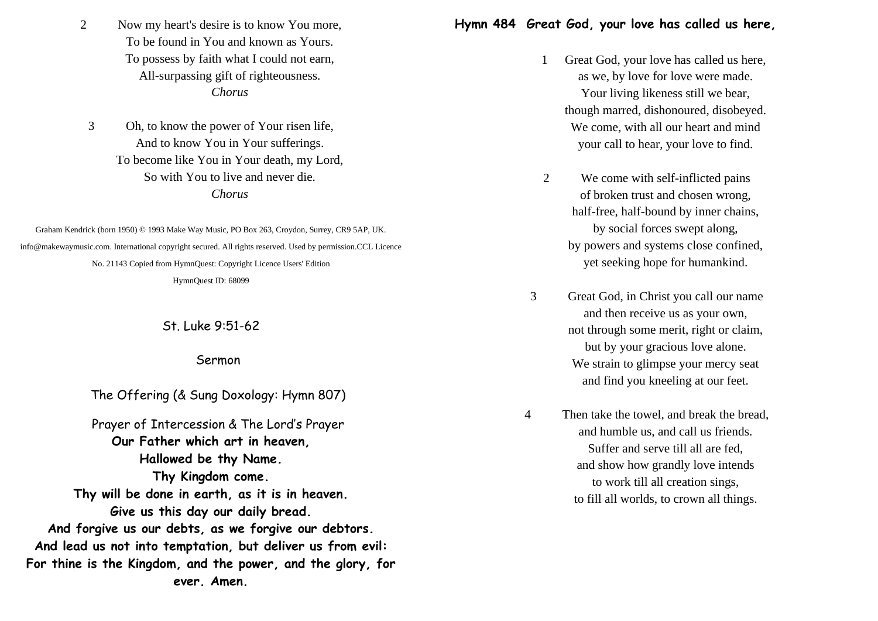2 Now my heart's desire is to know You more, To be found in You and known as Yours. To possess by faith what I could not earn, All-surpassing gift of righteousness. *Chorus* 

3 Oh, to know the power of Your risen life, And to know You in Your sufferings. To become like You in Your death, my Lord, So with You to live and never die. *Chorus* 

Graham Kendrick (born 1950) © 1993 Make Way Music, PO Box 263, Croydon, Surrey, CR9 5AP, UK. info@makewaymusic.com. International copyright secured. All rights reserved. Used by permission.CCL Licence No. 21143 Copied from HymnQuest: Copyright Licence Users' Edition HymnQuest ID: 68099

St. Luke 9:51-62

Sermon

The Offering (& Sung Doxology: Hymn 807)

Prayer of Intercession & The Lord's Prayer **Our Father which art in heaven, Hallowed be thy Name. Thy Kingdom come. Thy will be done in earth, as it is in heaven. Give us this day our daily bread. And forgive us our debts, as we forgive our debtors. And lead us not into temptation, but deliver us from evil: For thine is the Kingdom, and the power, and the glory, for ever. Amen.**

# **Hymn 484 Great God, your love has called us here,**

- 1 Great God, your love has called us here, as we, by love for love were made. Your living likeness still we bear, though marred, dishonoured, disobeyed. We come, with all our heart and mind your call to hear, your love to find.
- 2 We come with self-inflicted pains of broken trust and chosen wrong, half-free, half-bound by inner chains, by social forces swept along, by powers and systems close confined, yet seeking hope for humankind.
- 3 Great God, in Christ you call our name and then receive us as your own, not through some merit, right or claim, but by your gracious love alone. We strain to glimpse your mercy seat and find you kneeling at our feet.
- 4 Then take the towel, and break the bread, and humble us, and call us friends. Suffer and serve till all are fed, and show how grandly love intends to work till all creation sings, to fill all worlds, to crown all things.